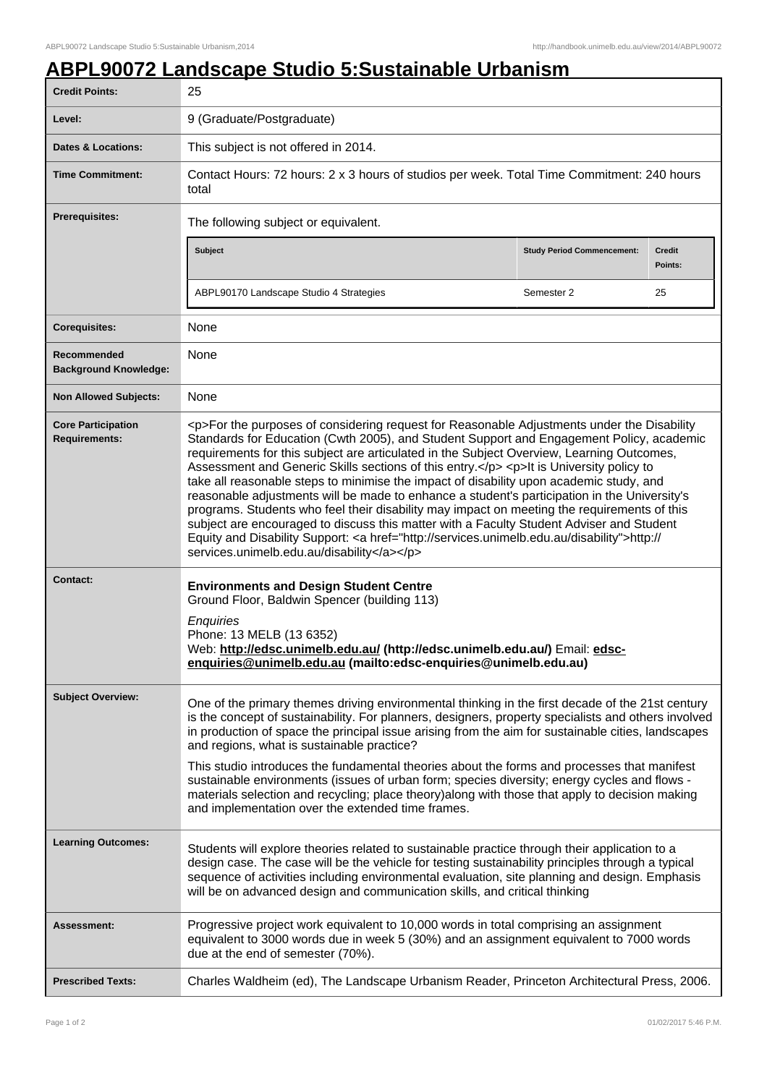## **ABPL90072 Landscape Studio 5:Sustainable Urbanism**

| <b>Credit Points:</b>                             | 25                                                                                                                                                                                                                                                                                                                                                                                                                                                                                                                                                                                                                                                                                                                                                                                                                                                                                                                           |                                   |                   |
|---------------------------------------------------|------------------------------------------------------------------------------------------------------------------------------------------------------------------------------------------------------------------------------------------------------------------------------------------------------------------------------------------------------------------------------------------------------------------------------------------------------------------------------------------------------------------------------------------------------------------------------------------------------------------------------------------------------------------------------------------------------------------------------------------------------------------------------------------------------------------------------------------------------------------------------------------------------------------------------|-----------------------------------|-------------------|
| Level:                                            | 9 (Graduate/Postgraduate)                                                                                                                                                                                                                                                                                                                                                                                                                                                                                                                                                                                                                                                                                                                                                                                                                                                                                                    |                                   |                   |
| <b>Dates &amp; Locations:</b>                     | This subject is not offered in 2014.                                                                                                                                                                                                                                                                                                                                                                                                                                                                                                                                                                                                                                                                                                                                                                                                                                                                                         |                                   |                   |
| <b>Time Commitment:</b>                           | Contact Hours: 72 hours: 2 x 3 hours of studios per week. Total Time Commitment: 240 hours<br>total                                                                                                                                                                                                                                                                                                                                                                                                                                                                                                                                                                                                                                                                                                                                                                                                                          |                                   |                   |
| Prerequisites:                                    | The following subject or equivalent.                                                                                                                                                                                                                                                                                                                                                                                                                                                                                                                                                                                                                                                                                                                                                                                                                                                                                         |                                   |                   |
|                                                   | <b>Subject</b>                                                                                                                                                                                                                                                                                                                                                                                                                                                                                                                                                                                                                                                                                                                                                                                                                                                                                                               | <b>Study Period Commencement:</b> | Credit<br>Points: |
|                                                   | ABPL90170 Landscape Studio 4 Strategies                                                                                                                                                                                                                                                                                                                                                                                                                                                                                                                                                                                                                                                                                                                                                                                                                                                                                      | Semester 2                        | 25                |
| <b>Corequisites:</b>                              | None                                                                                                                                                                                                                                                                                                                                                                                                                                                                                                                                                                                                                                                                                                                                                                                                                                                                                                                         |                                   |                   |
| Recommended<br><b>Background Knowledge:</b>       | None                                                                                                                                                                                                                                                                                                                                                                                                                                                                                                                                                                                                                                                                                                                                                                                                                                                                                                                         |                                   |                   |
| <b>Non Allowed Subjects:</b>                      | None                                                                                                                                                                                                                                                                                                                                                                                                                                                                                                                                                                                                                                                                                                                                                                                                                                                                                                                         |                                   |                   |
| <b>Core Participation</b><br><b>Requirements:</b> | <p>For the purposes of considering request for Reasonable Adjustments under the Disability<br/>Standards for Education (Cwth 2005), and Student Support and Engagement Policy, academic<br/>requirements for this subject are articulated in the Subject Overview, Learning Outcomes,<br/>Assessment and Generic Skills sections of this entry.</p> <p>lt is University policy to<br/>take all reasonable steps to minimise the impact of disability upon academic study, and<br/>reasonable adjustments will be made to enhance a student's participation in the University's<br/>programs. Students who feel their disability may impact on meeting the requirements of this<br/>subject are encouraged to discuss this matter with a Faculty Student Adviser and Student<br/>Equity and Disability Support: &lt; a href="http://services.unimelb.edu.au/disability"&gt;http://<br/>services.unimelb.edu.au/disability</p> |                                   |                   |
| <b>Contact:</b>                                   | <b>Environments and Design Student Centre</b><br>Ground Floor, Baldwin Spencer (building 113)<br>Enquiries<br>Phone: 13 MELB (13 6352)<br>Web: http://edsc.unimelb.edu.au/ (http://edsc.unimelb.edu.au/) Email: edsc-<br>enquiries@unimelb.edu.au (mailto:edsc-enquiries@unimelb.edu.au)                                                                                                                                                                                                                                                                                                                                                                                                                                                                                                                                                                                                                                     |                                   |                   |
| <b>Subject Overview:</b>                          | One of the primary themes driving environmental thinking in the first decade of the 21st century<br>is the concept of sustainability. For planners, designers, property specialists and others involved<br>in production of space the principal issue arising from the aim for sustainable cities, landscapes<br>and regions, what is sustainable practice?                                                                                                                                                                                                                                                                                                                                                                                                                                                                                                                                                                  |                                   |                   |
|                                                   | This studio introduces the fundamental theories about the forms and processes that manifest<br>sustainable environments (issues of urban form; species diversity; energy cycles and flows -<br>materials selection and recycling; place theory)along with those that apply to decision making<br>and implementation over the extended time frames.                                                                                                                                                                                                                                                                                                                                                                                                                                                                                                                                                                           |                                   |                   |
| <b>Learning Outcomes:</b>                         | Students will explore theories related to sustainable practice through their application to a<br>design case. The case will be the vehicle for testing sustainability principles through a typical<br>sequence of activities including environmental evaluation, site planning and design. Emphasis<br>will be on advanced design and communication skills, and critical thinking                                                                                                                                                                                                                                                                                                                                                                                                                                                                                                                                            |                                   |                   |
| Assessment:                                       | Progressive project work equivalent to 10,000 words in total comprising an assignment<br>equivalent to 3000 words due in week 5 (30%) and an assignment equivalent to 7000 words<br>due at the end of semester (70%).                                                                                                                                                                                                                                                                                                                                                                                                                                                                                                                                                                                                                                                                                                        |                                   |                   |
| <b>Prescribed Texts:</b>                          | Charles Waldheim (ed), The Landscape Urbanism Reader, Princeton Architectural Press, 2006.                                                                                                                                                                                                                                                                                                                                                                                                                                                                                                                                                                                                                                                                                                                                                                                                                                   |                                   |                   |